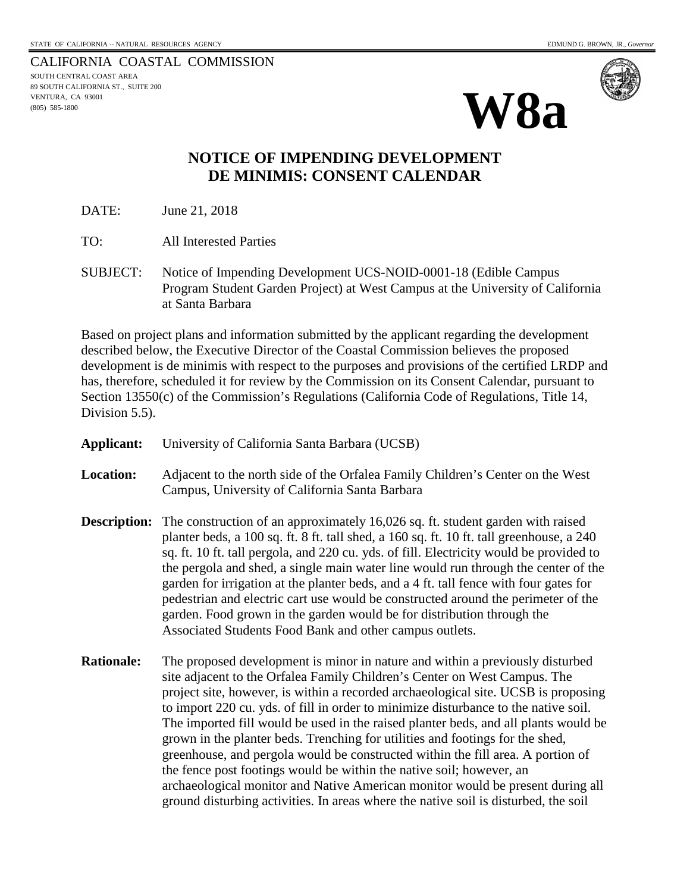CALIFORNIA COASTAL COMMISSION SOUTH CENTRAL COAST AREA 89 SOUTH CALIFORNIA ST., SUITE 200 VENTURA, CA 93001 (805) 585-1800





## **NOTICE OF IMPENDING DEVELOPMENT DE MINIMIS: CONSENT CALENDAR**

DATE: June 21, 2018

TO: All Interested Parties

SUBJECT: Notice of Impending Development UCS-NOID-0001-18 (Edible Campus Program Student Garden Project) at West Campus at the University of California at Santa Barbara

Based on project plans and information submitted by the applicant regarding the development described below, the Executive Director of the Coastal Commission believes the proposed development is de minimis with respect to the purposes and provisions of the certified LRDP and has, therefore, scheduled it for review by the Commission on its Consent Calendar, pursuant to Section 13550(c) of the Commission's Regulations (California Code of Regulations, Title 14, Division 5.5).

| Applicant:          | University of California Santa Barbara (UCSB)                                                                                                                                                                                                                                                                                                                                                                                                                                                                                                                                                                                                                                                                                                                                                                                                       |
|---------------------|-----------------------------------------------------------------------------------------------------------------------------------------------------------------------------------------------------------------------------------------------------------------------------------------------------------------------------------------------------------------------------------------------------------------------------------------------------------------------------------------------------------------------------------------------------------------------------------------------------------------------------------------------------------------------------------------------------------------------------------------------------------------------------------------------------------------------------------------------------|
| <b>Location:</b>    | Adjacent to the north side of the Orfalea Family Children's Center on the West<br>Campus, University of California Santa Barbara                                                                                                                                                                                                                                                                                                                                                                                                                                                                                                                                                                                                                                                                                                                    |
| <b>Description:</b> | The construction of an approximately 16,026 sq. ft. student garden with raised<br>planter beds, a 100 sq. ft. 8 ft. tall shed, a 160 sq. ft. 10 ft. tall greenhouse, a 240<br>sq. ft. 10 ft. tall pergola, and 220 cu. yds. of fill. Electricity would be provided to<br>the pergola and shed, a single main water line would run through the center of the<br>garden for irrigation at the planter beds, and a 4 ft. tall fence with four gates for<br>pedestrian and electric cart use would be constructed around the perimeter of the<br>garden. Food grown in the garden would be for distribution through the<br>Associated Students Food Bank and other campus outlets.                                                                                                                                                                      |
| <b>Rationale:</b>   | The proposed development is minor in nature and within a previously disturbed<br>site adjacent to the Orfalea Family Children's Center on West Campus. The<br>project site, however, is within a recorded archaeological site. UCSB is proposing<br>to import 220 cu. yds. of fill in order to minimize disturbance to the native soil.<br>The imported fill would be used in the raised planter beds, and all plants would be<br>grown in the planter beds. Trenching for utilities and footings for the shed,<br>greenhouse, and pergola would be constructed within the fill area. A portion of<br>the fence post footings would be within the native soil; however, an<br>archaeological monitor and Native American monitor would be present during all<br>ground disturbing activities. In areas where the native soil is disturbed, the soil |